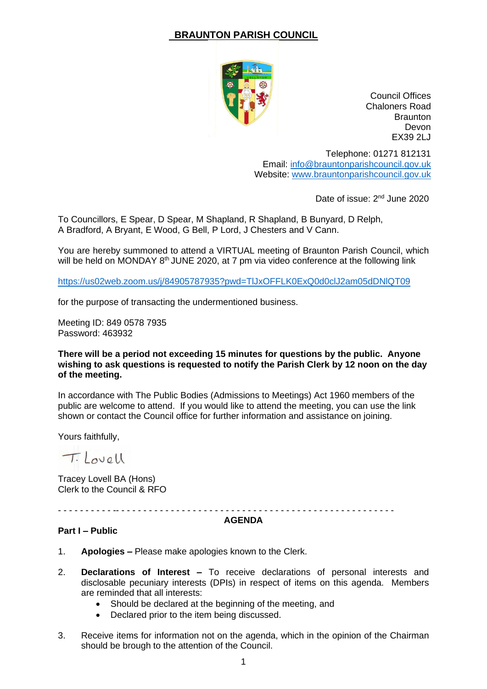# **BRAUNTON PARISH COUNCIL**



Council Offices Chaloners Road **Braunton** Devon EX39 2LJ

Telephone: 01271 812131 Email: [info@brauntonparishcouncil.gov.uk](mailto:info@brauntonparishcouncil.gov.uk) Website: [www.brauntonparishcouncil.gov.uk](http://www.brauntonparishcouncil.gov.uk/)

Date of issue: 2<sup>nd</sup> June 2020

To Councillors, E Spear, D Spear, M Shapland, R Shapland, B Bunyard, D Relph, A Bradford, A Bryant, E Wood, G Bell, P Lord, J Chesters and V Cann.

You are hereby summoned to attend a VIRTUAL meeting of Braunton Parish Council, which will be held on MONDAY 8<sup>th</sup> JUNE 2020, at 7 pm via video conference at the following link

<https://us02web.zoom.us/j/84905787935?pwd=TlJxOFFLK0ExQ0d0clJ2am05dDNlQT09>

for the purpose of transacting the undermentioned business.

Meeting ID: 849 0578 7935 Password: 463932

### **There will be a period not exceeding 15 minutes for questions by the public. Anyone wishing to ask questions is requested to notify the Parish Clerk by 12 noon on the day of the meeting.**

In accordance with The Public Bodies (Admissions to Meetings) Act 1960 members of the public are welcome to attend. If you would like to attend the meeting, you can use the link shown or contact the Council office for further information and assistance on joining.

Yours faithfully,

Tilovell

Tracey Lovell BA (Hons) Clerk to the Council & RFO

- - - - - - - - - - -- - - - - - - - - - - - - - - - - - - - - - - - - - - - - - - - - - - - - - - - - - - - - - - - - - -

#### **AGENDA**

#### **Part I – Public**

- 1. **Apologies –** Please make apologies known to the Clerk.
- 2. **Declarations of Interest –** To receive declarations of personal interests and disclosable pecuniary interests (DPIs) in respect of items on this agenda. Members are reminded that all interests:
	- Should be declared at the beginning of the meeting, and
	- Declared prior to the item being discussed.
- 3. Receive items for information not on the agenda, which in the opinion of the Chairman should be brough to the attention of the Council.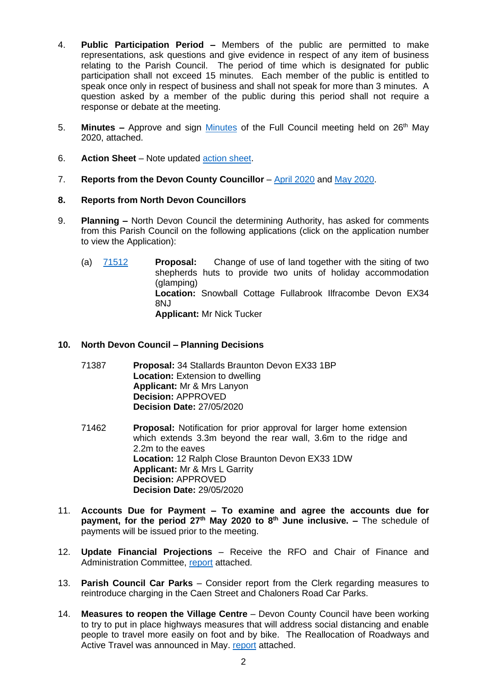- 4. **Public Participation Period –** Members of the public are permitted to make representations, ask questions and give evidence in respect of any item of business relating to the Parish Council. The period of time which is designated for public participation shall not exceed 15 minutes. Each member of the public is entitled to speak once only in respect of business and shall not speak for more than 3 minutes. A question asked by a member of the public during this period shall not require a response or debate at the meeting.
- 5. **Minutes –** Approve and sign [Minutes](http://www.brauntonparishcouncil.gov.uk/Braunton-PC/UserFiles/Files/Agenda%20Item%205%20-%20MINUTES%2026.05.20%20DRAFT.pdf) of the Full Council meeting held on 26<sup>th</sup> May 2020, attached.
- 6. **Action Sheet** Note updated [action sheet.](http://www.brauntonparishcouncil.gov.uk/Braunton-PC/UserFiles/Files/Agenda%20Item%206%20-%20ACTION%20SHEET%20080820.pdf)
- 7. **Reports from the Devon County Councillor** [April 2020](http://www.brauntonparishcouncil.gov.uk/Braunton-PC/UserFiles/Files/Agenda%20Item%207%20-%20DCC%20REPORT%20APRIL%202020.pdf) and [May 2020.](http://www.brauntonparishcouncil.gov.uk/Braunton-PC/UserFiles/Files/Agenda%20Item%207%20-%20DCC%20REPORT%20MAY%202020.pdf)

### **8. Reports from North Devon Councillors**

- 9. **Planning –** North Devon Council the determining Authority, has asked for comments from this Parish Council on the following applications (click on the application number to view the Application):
	- (a) [71512](https://planning.northdevon.gov.uk/Planning/Display/71512?cuuid=773812F3-C3B0-435F-80EE-E5C78919C22A) **Proposal:** Change of use of land together with the siting of two shepherds huts to provide two units of holiday accommodation (glamping) **Location:** Snowball Cottage Fullabrook Ilfracombe Devon EX34 8NJ **Applicant:** Mr Nick Tucker

## **10. North Devon Council – Planning Decisions**

- 71387 **Proposal:** 34 Stallards Braunton Devon EX33 1BP **Location:** Extension to dwelling **Applicant:** Mr & Mrs Lanyon **Decision:** APPROVED **Decision Date:** 27/05/2020
- 71462 **Proposal:** Notification for prior approval for larger home extension which extends 3.3m beyond the rear wall, 3.6m to the ridge and 2.2m to the eaves **Location:** 12 Ralph Close Braunton Devon EX33 1DW **Applicant:** Mr & Mrs L Garrity **Decision:** APPROVED **Decision Date:** 29/05/2020
- 11. **Accounts Due for Payment – To examine and agree the accounts due for payment, for the period 27th May 2020 to 8th June inclusive. –** The schedule of payments will be issued prior to the meeting.
- 12. **Update Financial Projections** Receive the RFO and Chair of Finance and Administration Committee, [report](http://www.brauntonparishcouncil.gov.uk/Braunton-PC/UserFiles/Files/Agenda%20Item%2012%20-%20FINANCIAL%20PROJECTIONS%20COVID-19.pdf) attached.
- 13. **Parish Council Car Parks** Consider report from the Clerk regarding measures to reintroduce charging in the Caen Street and Chaloners Road Car Parks.
- 14. **Measures to reopen the Village Centre** Devon County Council have been working to try to put in place highways measures that will address social distancing and enable people to travel more easily on foot and by bike. The Reallocation of Roadways and Active Travel was announced in May. [report](http://www.brauntonparishcouncil.gov.uk/Braunton-PC/UserFiles/Files/Agenda%20Item%2014%20-%20REPORT%20MEASURES%20TO%20REPORT%20THE%20VILLAGE%20CENTRE%20080820.pdf) attached.